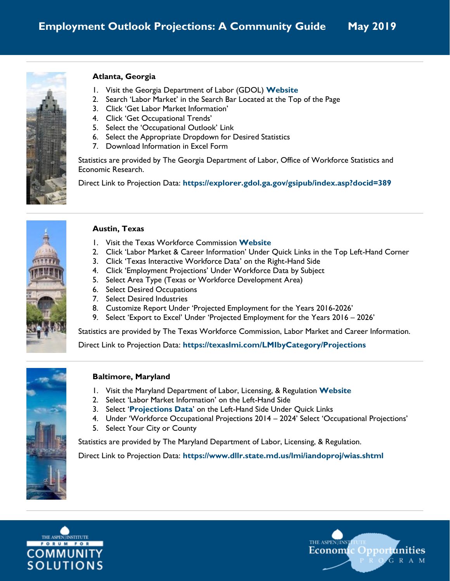

### **Atlanta, Georgia**

- 1. Visit the Georgia Department of Labor (GDOL) **[Website](https://dol.georgia.gov/)**
- 2. Search 'Labor Market' in the Search Bar Located at the Top of the Page
- 3. Click 'Get Labor Market Information'
- 4. Click 'Get Occupational Trends'
- 5. Select the 'Occupational Outlook' Link
- 6. Select the Appropriate Dropdown for Desired Statistics
- 7. Download Information in Excel Form

Statistics are provided by The Georgia Department of Labor, Office of Workforce Statistics and Economic Research.

Direct Link to Projection Data: **<https://explorer.gdol.ga.gov/gsipub/index.asp?docid=389>**



### **Austin, Texas**

- 1. Visit the Texas Workforce Commission **[Website](https://twc.texas.gov/)**
- 2. Click 'Labor Market & Career Information' Under Quick Links in the Top Left-Hand Corner
- 3. Click 'Texas Interactive Workforce Data' on the Right-Hand Side
- 4. Click 'Employment Projections' Under Workforce Data by Subject
- 5. Select Area Type (Texas or Workforce Development Area)
- 6. Select Desired Occupations
- 7. Select Desired Industries
- 8. Customize Report Under 'Projected Employment for the Years 2016-2026'
- 9. Select 'Export to Excel' Under 'Projected Employment for the Years 2016 2026'

Statistics are provided by The Texas Workforce Commission, Labor Market and Career Information.

Direct Link to Projection Data: **<https://texaslmi.com/LMIbyCategory/Projections>**



# **Baltimore, Maryland**

- 1. Visit the Maryland Department of Labor, Licensing, & Regulation **[Website](https://www.dllr.state.md.us/)**
- 2. Select 'Labor Market Information' on the Left-Hand Side
- 3. Select '**[Projections Data](https://www.dllr.state.md.us/lmi/iandoproj/)**' on the Left-Hand Side Under Quick Links
- 4. Under 'Workforce Occupational Projections 2014 2024' Select 'Occupational Projections'
- 5. Select Your City or County

Statistics are provided by The Maryland Department of Labor, Licensing, & Regulation.

Direct Link to Projection Data: **<https://www.dllr.state.md.us/lmi/iandoproj/wias.shtml>**



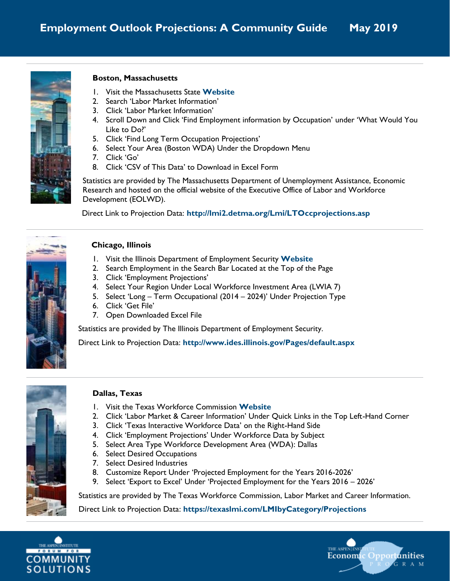

#### **Boston, Massachusetts**

- 1. Visit the Massachusetts State **[Website](http://mass.gov/)**
- 2. Search 'Labor Market Information'
- 3. Click 'Labor Market Information'
- 4. Scroll Down and Click 'Find Employment information by Occupation' under 'What Would You Like to Do?'
- 5. Click 'Find Long Term Occupation Projections'
- 6. Select Your Area (Boston WDA) Under the Dropdown Menu
- 7. Click 'Go'
- 8. Click 'CSV of This Data' to Download in Excel Form

Statistics are provided by The Massachusetts Department of Unemployment Assistance, Economic Research and hosted on the official website of the Executive Office of Labor and Workforce Development (EOLWD).

Direct Link to Projection Data: **<http://lmi2.detma.org/Lmi/LTOccprojections.asp>**



### **Chicago, Illinois**

- 1. Visit the Illinois Department of Employment Security **[Website](http://www.ides.illinois.gov/)**
- 2. Search Employment in the Search Bar Located at the Top of the Page
- 3. Click 'Employment Projections'
- 4. Select Your Region Under Local Workforce Investment Area (LWIA 7)
- 5. Select 'Long Term Occupational (2014 2024)' Under Projection Type
- 6. Click 'Get File'
- 7. Open Downloaded Excel File

Statistics are provided by The Illinois Department of Employment Security.

Direct Link to Projection Data: **<http://www.ides.illinois.gov/Pages/default.aspx>**



# **Dallas, Texas**

- 1. Visit the Texas Workforce Commission **[Website](https://twc.texas.gov/)**
- 2. Click 'Labor Market & Career Information' Under Quick Links in the Top Left-Hand Corner
- 3. Click 'Texas Interactive Workforce Data' on the Right-Hand Side
- 4. Click 'Employment Projections' Under Workforce Data by Subject
- 5. Select Area Type Workforce Development Area (WDA): Dallas
- 6. Select Desired Occupations
- 7. Select Desired Industries
- 8. Customize Report Under 'Projected Employment for the Years 2016-2026'
- 9. Select 'Export to Excel' Under 'Projected Employment for the Years 2016 2026'

Statistics are provided by The Texas Workforce Commission, Labor Market and Career Information.

Direct Link to Projection Data: **<https://texaslmi.com/LMIbyCategory/Projections>**



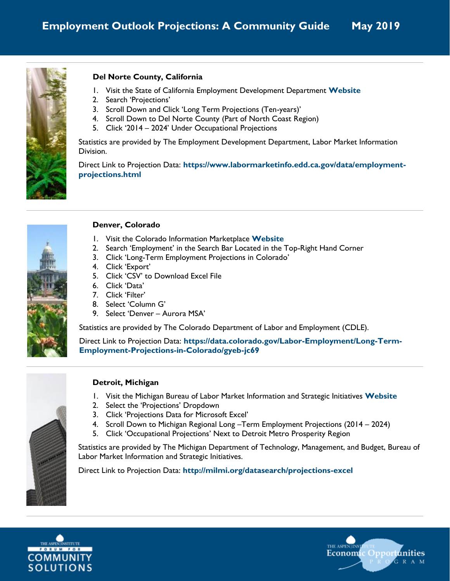

## **Del Norte County, California**

- 1. Visit the State of California Employment Development Department **[Website](http://www.edd.ca.gov/)**
- 2. Search 'Projections'
- 3. Scroll Down and Click 'Long Term Projections (Ten-years)'
- 4. Scroll Down to Del Norte County (Part of North Coast Region)
- 5. Click '2014 2024' Under Occupational Projections

Statistics are provided by The Employment Development Department, Labor Market Information Division.

Direct Link to Projection Data: **[https://www.labormarketinfo.edd.ca.gov/data/employment](https://www.labormarketinfo.edd.ca.gov/data/employment-projections.html)[projections.html](https://www.labormarketinfo.edd.ca.gov/data/employment-projections.html)**



### **Denver, Colorado**

- 1. Visit the Colorado Information Marketplace **[Website](https://data.colorado.gov/)**
- 2. Search 'Employment' in the Search Bar Located in the Top-Right Hand Corner
- 3. Click 'Long-Term Employment Projections in Colorado'
- 4. Click 'Export'
- 5. Click 'CSV' to Download Excel File
- 6. Click 'Data'
- 7. Click 'Filter'
- 8. Select 'Column G'
- 9. Select 'Denver Aurora MSA'

Statistics are provided by The Colorado Department of Labor and Employment (CDLE).

Direct Link to Projection Data: **[https://data.colorado.gov/Labor-Employment/Long-Term-](https://data.colorado.gov/Labor-Employment/Long-Term-Employment-Projections-in-Colorado/gyeb-jc69)[Employment-Projections-in-Colorado/gyeb-jc69](https://data.colorado.gov/Labor-Employment/Long-Term-Employment-Projections-in-Colorado/gyeb-jc69)**



### **Detroit, Michigan**

- 1. Visit the Michigan Bureau of Labor Market Information and Strategic Initiatives **[Website](http://milmi.org/)**
- 2. Select the 'Projections' Dropdown
- 3. Click 'Projections Data for Microsoft Excel'
- 4. Scroll Down to Michigan Regional Long –Term Employment Projections (2014 2024)
- 5. Click 'Occupational Projections' Next to Detroit Metro Prosperity Region

Statistics are provided by The Michigan Department of Technology, Management, and Budget, Bureau of Labor Market Information and Strategic Initiatives.

Direct Link to Projection Data: **<http://milmi.org/datasearch/projections-excel>**



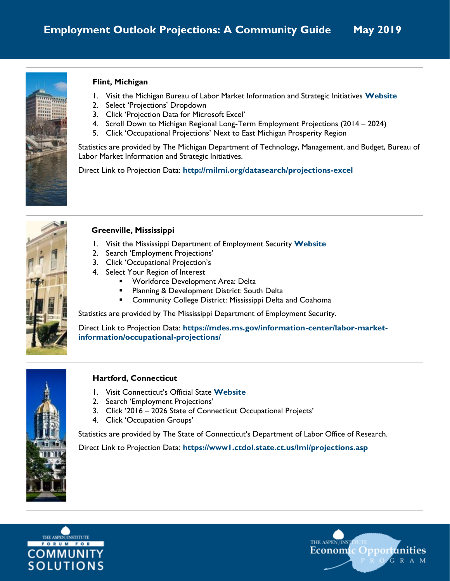

### **Flint, Michigan**

- 1. Visit the Michigan Bureau of Labor Market Information and Strategic Initiatives **[Website](http://milmi.org/)**
- 2. Select 'Projections' Dropdown
- 3. Click 'Projection Data for Microsoft Excel'
- 4. Scroll Down to Michigan Regional Long-Term Employment Projections (2014 2024)
- 5. Click 'Occupational Projections' Next to East Michigan Prosperity Region

Statistics are provided by The Michigan Department of Technology, Management, and Budget, Bureau of Labor Market Information and Strategic Initiatives.

Direct Link to Projection Data: **<http://milmi.org/datasearch/projections-excel>**



## **Greenville, Mississippi**

- 1. Visit the Mississippi Department of Employment Security **[Website](https://mdes.ms.gov/)**
- 2. Search 'Employment Projections'
- 3. Click 'Occupational Projection's
- 4. Select Your Region of Interest
	- Workforce Development Area: Delta
	- Planning & Development District: South Delta
	- **E** Community College District: Mississippi Delta and Coahoma

Statistics are provided by The Mississippi Department of Employment Security.

Direct Link to Projection Data: **[https://mdes.ms.gov/information-center/labor-market](https://mdes.ms.gov/information-center/labor-market-information/occupational-projections/)[information/occupational-projections/](https://mdes.ms.gov/information-center/labor-market-information/occupational-projections/)**



### **Hartford, Connecticut**

- 1. Visit Connecticut's Official State **[Website](https://portal.ct.gov/Government)**
- 2. Search 'Employment Projections'
- 3. Click '2016 2026 State of Connecticut Occupational Projects'
- 4. Click 'Occupation Groups'

Statistics are provided by The State of Connecticut's Department of Labor Office of Research.

Direct Link to Projection Data: **<https://www1.ctdol.state.ct.us/lmi/projections.asp>**



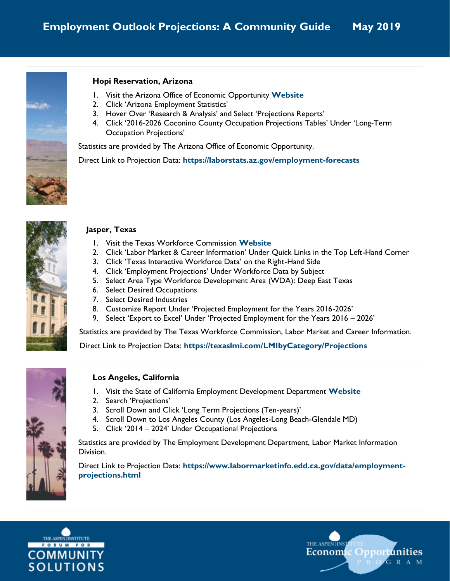

#### **Hopi Reservation, Arizona**

- 1. Visit the Arizona Office of Economic Opportunity **[Website](http://oeo.az.gov/)**
- 2. Click 'Arizona Employment Statistics'
- 3. Hover Over 'Research & Analysis' and Select 'Projections Reports'
- 4. Click '2016-2026 Coconino County Occupation Projections Tables' Under 'Long-Term Occupation Projections'

Statistics are provided by The Arizona Office of Economic Opportunity.

Direct Link to Projection Data: **<https://laborstats.az.gov/employment-forecasts>**



### **Jasper, Texas**

- 1. Visit the Texas Workforce Commission **[Website](https://twc.texas.gov/)**
- 2. Click 'Labor Market & Career Information' Under Quick Links in the Top Left-Hand Corner
- 3. Click 'Texas Interactive Workforce Data' on the Right-Hand Side
- 4. Click 'Employment Projections' Under Workforce Data by Subject
- 5. Select Area Type Workforce Development Area (WDA): Deep East Texas
- 6. Select Desired Occupations
- 7. Select Desired Industries
- 8. Customize Report Under 'Projected Employment for the Years 2016-2026'
- 9. Select 'Export to Excel' Under 'Projected Employment for the Years 2016 2026'

Statistics are provided by The Texas Workforce Commission, Labor Market and Career Information.

Direct Link to Projection Data: **<https://texaslmi.com/LMIbyCategory/Projections>**



### **Los Angeles, California**

- 1. Visit the State of California Employment Development Department **[Website](http://www.edd.ca.gov/)**
- 2. Search 'Projections'
- 3. Scroll Down and Click 'Long Term Projections (Ten-years)'
- 4. Scroll Down to Los Angeles County (Los Angeles-Long Beach-Glendale MD)
- 5. Click '2014 2024' Under Occupational Projections

Statistics are provided by The Employment Development Department, Labor Market Information Division.

Direct Link to Projection Data: **[https://www.labormarketinfo.edd.ca.gov/data/employment](https://www.labormarketinfo.edd.ca.gov/data/employment-projections.html)[projections.html](https://www.labormarketinfo.edd.ca.gov/data/employment-projections.html)**



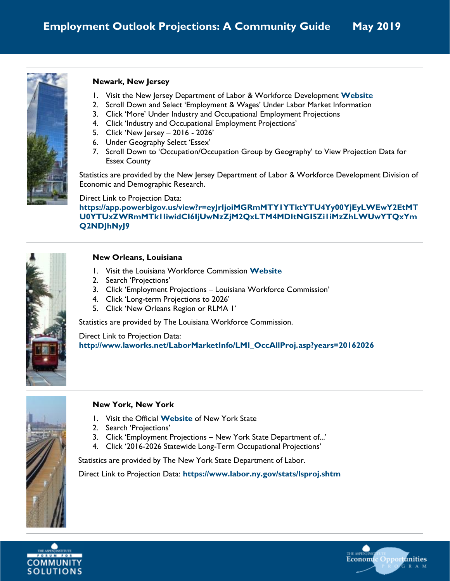

### **Newark, New Jersey**

- 1. Visit the New Jersey Department of Labor & Workforce Development **[Website](https://www.nj.gov/labor/)**
- 2. Scroll Down and Select 'Employment & Wages' Under Labor Market Information
- 3. Click 'More' Under Industry and Occupational Employment Projections
- 4. Click 'Industry and Occupational Employment Projections'
- 5. Click 'New Jersey 2016 2026'
- 6. Under Geography Select 'Essex'
- 7. Scroll Down to 'Occupation/Occupation Group by Geography' to View Projection Data for Essex County

Statistics are provided by the New Jersey Department of Labor & Workforce Development Division of Economic and Demographic Research.

### Direct Link to Projection Data:

**[https://app.powerbigov.us/view?r=eyJrIjoiMGRmMTY1YTktYTU4Yy00YjEyLWEwY2EtMT](https://app.powerbigov.us/view?r=eyJrIjoiMGRmMTY1YTktYTU4Yy00YjEyLWEwY2EtMTU0YTUxZWRmMTk1IiwidCI6IjUwNzZjM2QxLTM4MDItNGI5Zi1iMzZhLWUwYTQxYmQ2NDJhNyJ9) [U0YTUxZWRmMTk1IiwidCI6IjUwNzZjM2QxLTM4MDItNGI5Zi1iMzZhLWUwYTQxYm](https://app.powerbigov.us/view?r=eyJrIjoiMGRmMTY1YTktYTU4Yy00YjEyLWEwY2EtMTU0YTUxZWRmMTk1IiwidCI6IjUwNzZjM2QxLTM4MDItNGI5Zi1iMzZhLWUwYTQxYmQ2NDJhNyJ9) [Q2NDJhNyJ9](https://app.powerbigov.us/view?r=eyJrIjoiMGRmMTY1YTktYTU4Yy00YjEyLWEwY2EtMTU0YTUxZWRmMTk1IiwidCI6IjUwNzZjM2QxLTM4MDItNGI5Zi1iMzZhLWUwYTQxYmQ2NDJhNyJ9)**



#### **New Orleans, Louisiana**

- 1. Visit the Louisiana Workforce Commission **[Website](http://www.laworks.net/)**
- 2. Search 'Projections'
- 3. Click 'Employment Projections Louisiana Workforce Commission'
- 4. Click 'Long-term Projections to 2026'
- 5. Click 'New Orleans Region or RLMA 1'

Statistics are provided by The Louisiana Workforce Commission.

Direct Link to Projection Data: **[http://www.laworks.net/LaborMarketInfo/LMI\\_OccAllProj.asp?years=20162026](http://www.laworks.net/LaborMarketInfo/LMI_OccAllProj.asp?years=20162026)**



### **New York, New York**

- 1. Visit the Official **[Website](http://www.ny.gov/)** of New York State
- 2. Search 'Projections'
- 3. Click 'Employment Projections New York State Department of...'
- 4. Click '2016-2026 Statewide Long-Term Occupational Projections'

Statistics are provided by The New York State Department of Labor.

Direct Link to Projection Data: **<https://www.labor.ny.gov/stats/lsproj.shtm>**



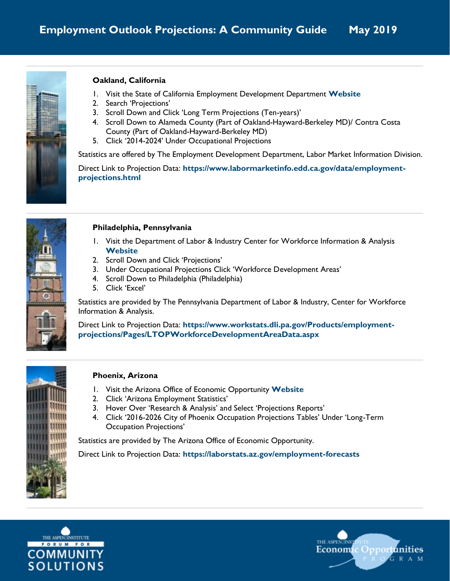

## **Oakland, California**

- 1. Visit the State of California Employment Development Department **[Website](http://www.edd.ca.gov/)**
- 2. Search 'Projections'
- 3. Scroll Down and Click 'Long Term Projections (Ten-years)'
- 4. Scroll Down to Alameda County (Part of Oakland-Hayward-Berkeley MD)/ Contra Costa County (Part of Oakland-Hayward-Berkeley MD)
- 5. Click '2014-2024' Under Occupational Projections

Statistics are offered by The Employment Development Department, Labor Market Information Division.

Direct Link to Projection Data: **[https://www.labormarketinfo.edd.ca.gov/data/employment](https://www.labormarketinfo.edd.ca.gov/data/employment-projections.html)[projections.html](https://www.labormarketinfo.edd.ca.gov/data/employment-projections.html)**



### **Philadelphia, Pennsylvania**

- 1. Visit the Department of Labor & Industry Center for Workforce Information & Analysis **[Website](http://www.workstats.dli.pa.gov/)**
- 2. Scroll Down and Click 'Projections'
- 3. Under Occupational Projections Click 'Workforce Development Areas'
- 4. Scroll Down to Philadelphia (Philadelphia)
- 5. Click 'Excel'

Statistics are provided by The Pennsylvania Department of Labor & Industry, Center for Workforce Information & Analysis.

Direct Link to Projection Data: **[https://www.workstats.dli.pa.gov/Products/employment](https://www.workstats.dli.pa.gov/Products/employment-projections/Pages/LTOPWorkforceDevelopmentAreaData.aspx)[projections/Pages/LTOPWorkforceDevelopmentAreaData.aspx](https://www.workstats.dli.pa.gov/Products/employment-projections/Pages/LTOPWorkforceDevelopmentAreaData.aspx)**



### **Phoenix, Arizona**

- 1. Visit the Arizona Office of Economic Opportunity **[Website](http://oeo.az.gov/)**
- 2. Click 'Arizona Employment Statistics'
- 3. Hover Over 'Research & Analysis' and Select 'Projections Reports'
- 4. Click '2016-2026 City of Phoenix Occupation Projections Tables' Under 'Long-Term Occupation Projections'

Statistics are provided by The Arizona Office of Economic Opportunity.

Direct Link to Projection Data: **<https://laborstats.az.gov/employment-forecasts>**



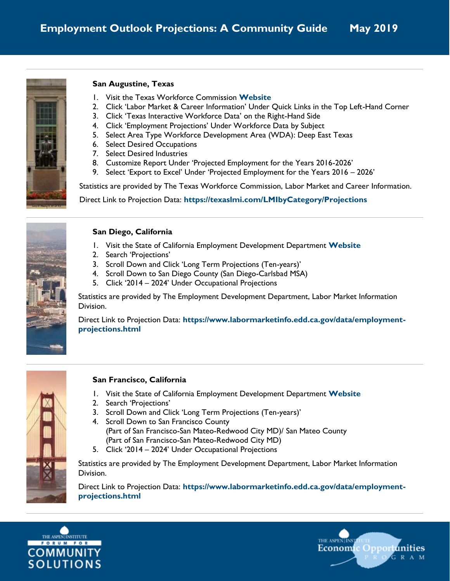

### **San Augustine, Texas**

- 1. Visit the Texas Workforce Commission **[Website](https://twc.texas.gov/)**
- 2. Click 'Labor Market & Career Information' Under Quick Links in the Top Left-Hand Corner
- 3. Click 'Texas Interactive Workforce Data' on the Right-Hand Side
- 4. Click 'Employment Projections' Under Workforce Data by Subject
- 5. Select Area Type Workforce Development Area (WDA): Deep East Texas
- 6. Select Desired Occupations
- 7. Select Desired Industries
- 8. Customize Report Under 'Projected Employment for the Years 2016-2026'
- 9. Select 'Export to Excel' Under 'Projected Employment for the Years 2016 2026'

Statistics are provided by The Texas Workforce Commission, Labor Market and Career Information.

Direct Link to Projection Data: **<https://texaslmi.com/LMIbyCategory/Projections>**



### **San Diego, California**

- 1. Visit the State of California Employment Development Department **[Website](http://www.edd.ca.gov/)**
- 2. Search 'Projections'
- 3. Scroll Down and Click 'Long Term Projections (Ten-years)'
- 4. Scroll Down to San Diego County (San Diego-Carlsbad MSA)
- 5. Click '2014 2024' Under Occupational Projections

Statistics are provided by The Employment Development Department, Labor Market Information Division.

Direct Link to Projection Data: **[https://www.labormarketinfo.edd.ca.gov/data/employment](https://www.labormarketinfo.edd.ca.gov/data/employment-projections.html)[projections.html](https://www.labormarketinfo.edd.ca.gov/data/employment-projections.html)**



### **San Francisco, California**

- 1. Visit the State of California Employment Development Department **[Website](http://www.edd.ca.gov/)**
- 2. Search 'Projections'
- 3. Scroll Down and Click 'Long Term Projections (Ten-years)'
- 4. Scroll Down to San Francisco County (Part of San Francisco-San Mateo-Redwood City MD)/ San Mateo County (Part of San Francisco-San Mateo-Redwood City MD)
- 5. Click '2014 2024' Under Occupational Projections

Statistics are provided by The Employment Development Department, Labor Market Information Division.

Direct Link to Projection Data: **[https://www.labormarketinfo.edd.ca.gov/data/employment](https://www.labormarketinfo.edd.ca.gov/data/employment-projections.html)[projections.html](https://www.labormarketinfo.edd.ca.gov/data/employment-projections.html)**



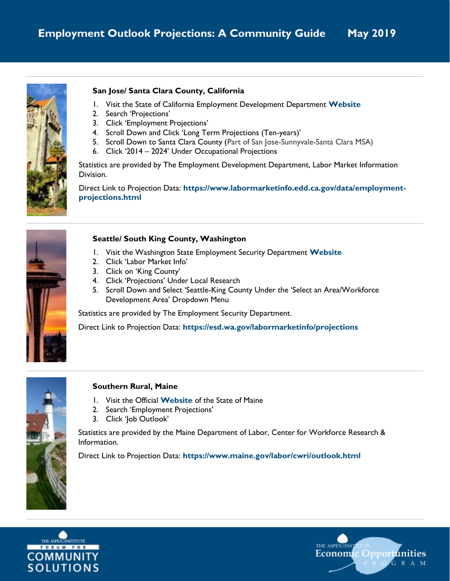

## **San Jose/ Santa Clara County, California**

- 1. Visit the State of California Employment Development Department **[Website](http://www.edd.ca.gov/)**
- 2. Search 'Projections'
- 3. Click 'Employment Projections'
- 4. Scroll Down and Click 'Long Term Projections (Ten-years)'
- 5. Scroll Down to Santa Clara County (Part of San Jose-Sunnyvale-Santa Clara MSA)
- 6. Click '2014 2024' Under Occupational Projections

Statistics are provided by The Employment Development Department, Labor Market Information Division.

Direct Link to Projection Data: **[https://www.labormarketinfo.edd.ca.gov/data/employment](https://www.labormarketinfo.edd.ca.gov/data/employment-projections.html)[projections.html](https://www.labormarketinfo.edd.ca.gov/data/employment-projections.html)**



### **Seattle/ South King County, Washington**

- 1. Visit the Washington State Employment Security Department **[Website](http://esd.wa.gov/)**
- 2. Click 'Labor Market Info'
- 3. Click on 'King County'
- 4. Click 'Projections' Under Local Research
- 5. Scroll Down and Select 'Seattle-King County Under the 'Select an Area/Workforce Development Area' Dropdown Menu

Statistics are provided by The Employment Security Department.

Direct Link to Projection Data: **<https://esd.wa.gov/labormarketinfo/projections>**



### **Southern Rural, Maine**

- 1. Visit the Official **[Website](http://www.maine.gov/)** of the State of Maine
- 2. Search 'Employment Projections'
- 3. Click 'Job Outlook'

Statistics are provided by the Maine Department of Labor, Center for Workforce Research & Information.

Direct Link to Projection Data: **<https://www.maine.gov/labor/cwri/outlook.html>**